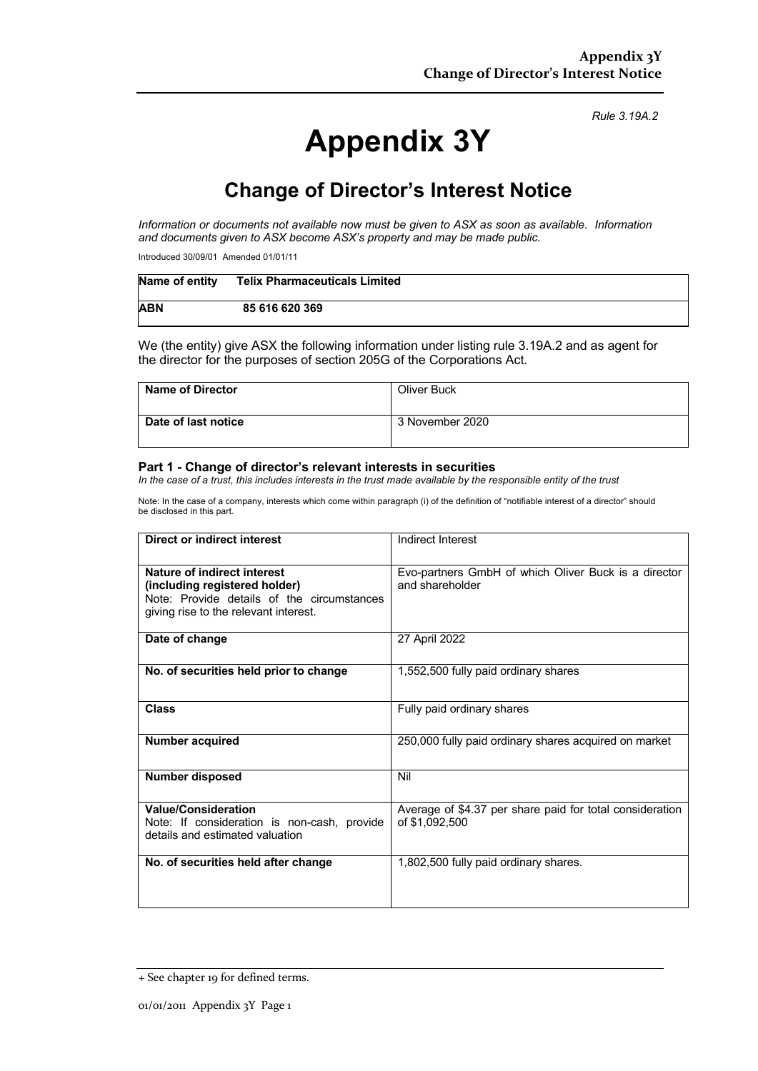#### *Rule 3.19A.2*

# **Appendix 3Y**

## **Change of Director's Interest Notice**

*Information or documents not available now must be given to ASX as soon as available. Information and documents given to ASX become ASX's property and may be made public.*

Introduced 30/09/01 Amended 01/01/11

| Name of entity | <b>Telix Pharmaceuticals Limited</b> |
|----------------|--------------------------------------|
| <b>ABN</b>     | 85 616 620 369                       |

We (the entity) give ASX the following information under listing rule 3.19A.2 and as agent for the director for the purposes of section 205G of the Corporations Act.

| <b>Name of Director</b> | Oliver Buck     |
|-------------------------|-----------------|
| Date of last notice     | 3 November 2020 |

#### **Part 1 - Change of director's relevant interests in securities**

*In the case of a trust, this includes interests in the trust made available by the responsible entity of the trust*

Note: In the case of a company, interests which come within paragraph (i) of the definition of "notifiable interest of a director" should be disclosed in this part.

| Direct or indirect interest                                                                                                                         | Indirect Interest                                                          |  |
|-----------------------------------------------------------------------------------------------------------------------------------------------------|----------------------------------------------------------------------------|--|
| Nature of indirect interest<br>(including registered holder)<br>Note: Provide details of the circumstances<br>giving rise to the relevant interest. | Evo-partners GmbH of which Oliver Buck is a director<br>and shareholder    |  |
| Date of change                                                                                                                                      | 27 April 2022                                                              |  |
| No. of securities held prior to change                                                                                                              | 1,552,500 fully paid ordinary shares                                       |  |
| <b>Class</b>                                                                                                                                        | Fully paid ordinary shares                                                 |  |
| <b>Number acquired</b>                                                                                                                              | 250,000 fully paid ordinary shares acquired on market                      |  |
| <b>Number disposed</b>                                                                                                                              | Nil                                                                        |  |
| <b>Value/Consideration</b><br>Note: If consideration is non-cash, provide<br>details and estimated valuation                                        | Average of \$4.37 per share paid for total consideration<br>of \$1,092,500 |  |
| No. of securities held after change                                                                                                                 | 1,802,500 fully paid ordinary shares.                                      |  |

<sup>+</sup> See chapter 19 for defined terms.